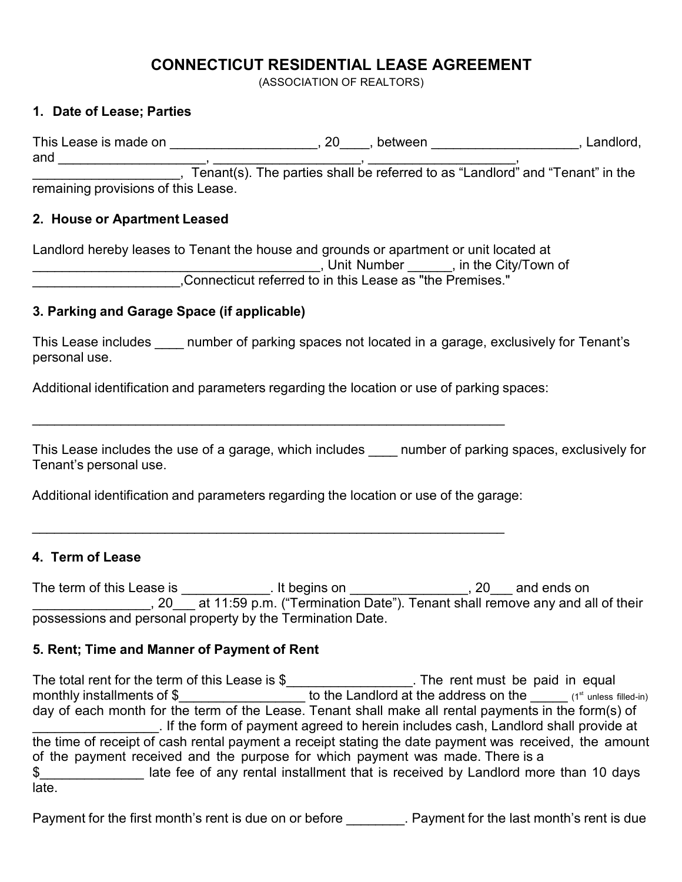# **CONNECTICUT RESIDENTIAL LEASE AGREEMENT**

(ASSOCIATION OF REALTORS)

#### **1. Date of Lease; Parties**

This Lease is made on \_\_\_\_\_\_\_\_\_\_\_\_\_\_\_\_\_\_\_\_\_\_\_, 20\_\_\_\_\_, between \_\_\_\_\_\_\_\_\_\_\_\_\_\_\_\_\_\_\_\_\_\_\_, Landlord, and \_\_\_\_\_\_\_\_\_\_\_\_\_\_\_\_\_\_\_\_, \_\_\_\_\_\_\_\_\_\_\_\_\_\_\_\_\_\_\_\_, \_\_\_\_\_\_\_\_\_\_\_\_\_\_\_\_\_\_\_\_, Tenant(s). The parties shall be referred to as "Landlord" and "Tenant" in the

remaining provisions of this Lease.

### **2. House or Apartment Leased**

Landlord hereby leases to Tenant the house and grounds or apartment or unit located at \_\_\_\_\_\_\_\_\_\_\_\_\_\_\_\_\_\_\_\_\_\_\_\_\_\_\_\_\_\_\_\_\_\_\_\_\_\_\_, Unit Number \_\_\_\_\_\_, in the City/Town of \_\_\_\_\_\_\_\_\_\_\_\_\_\_\_\_\_\_\_\_,Connecticut referred to in this Lease as "the Premises."

### **3. Parking and Garage Space (if applicable)**

This Lease includes humber of parking spaces not located in a garage, exclusively for Tenant's personal use.

Additional identification and parameters regarding the location or use of parking spaces:

This Lease includes the use of a garage, which includes \_\_\_\_\_ number of parking spaces, exclusively for Tenant's personal use.

Additional identification and parameters regarding the location or use of the garage:

 $\mathcal{L}_\text{max} = \mathcal{L}_\text{max} = \mathcal{L}_\text{max} = \mathcal{L}_\text{max} = \mathcal{L}_\text{max} = \mathcal{L}_\text{max} = \mathcal{L}_\text{max} = \mathcal{L}_\text{max} = \mathcal{L}_\text{max} = \mathcal{L}_\text{max} = \mathcal{L}_\text{max} = \mathcal{L}_\text{max} = \mathcal{L}_\text{max} = \mathcal{L}_\text{max} = \mathcal{L}_\text{max} = \mathcal{L}_\text{max} = \mathcal{L}_\text{max} = \mathcal{L}_\text{max} = \mathcal{$ 

 $\_$ 

### **4. Term of Lease**

The term of this Lease is \_\_\_\_\_\_\_\_\_\_\_\_\_\_. It begins on \_\_\_\_\_\_\_\_\_\_\_\_\_\_\_\_\_, 20\_\_\_ and ends on \_\_\_\_\_\_\_\_\_\_\_\_\_\_\_\_, 20\_\_\_ at 11:59 p.m. ("Termination Date"). Tenant shall remove any and all of their possessions and personal property by the Termination Date.

### **5. Rent; Time and Manner of Payment of Rent**

The total rent for the term of this Lease is  $\frac{1}{2}$  The rent must be paid in equal monthly installments of  $\frac{1}{2}$  and the Landlord at the address on the  $\frac{1}{2}$  (1st unless filled-in) day of each month for the term of the Lease. Tenant shall make all rental payments in the form(s) of \_\_\_\_\_\_\_\_\_\_\_\_\_\_\_\_\_. If the form of payment agreed to herein includes cash, Landlord shall provide at the time of receipt of cash rental payment a receipt stating the date payment was received, the amount of the payment received and the purpose for which payment was made. There is a \$ late fee of any rental installment that is received by Landlord more than 10 days late.

Payment for the first month's rent is due on or before **Example 1**. Payment for the last month's rent is due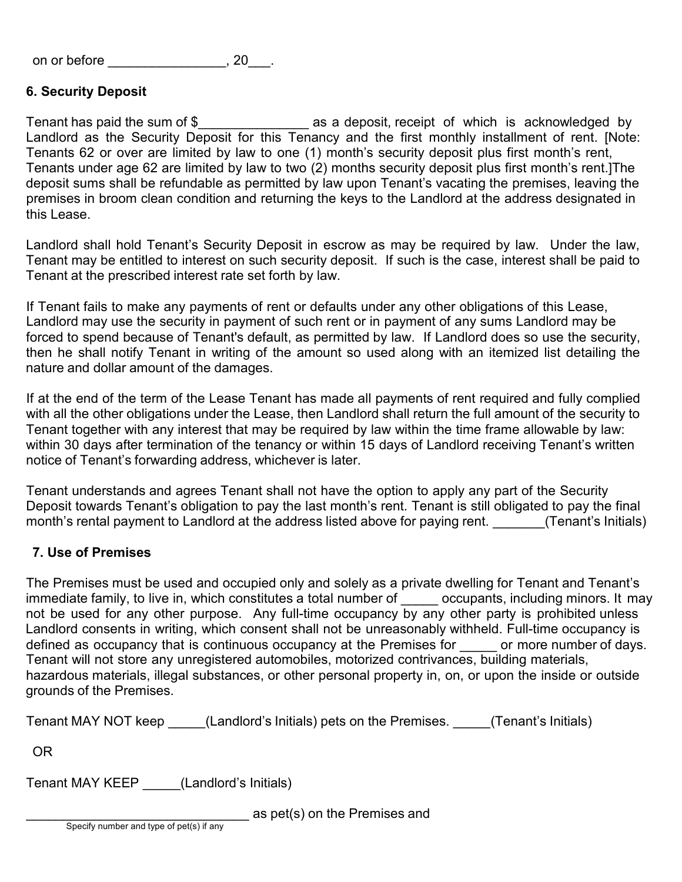on or before the control on  $\sim 20$ 

### **6. Security Deposit**

Tenant has paid the sum of \$\_\_\_\_\_\_\_\_\_\_\_\_\_\_\_\_\_\_\_\_\_\_\_ as a deposit, receipt of which is acknowledged by Landlord as the Security Deposit for this Tenancy and the first monthly installment of rent. [Note: Tenants 62 or over are limited by law to one (1) month's security deposit plus first month's rent, Tenants under age 62 are limited by law to two (2) months security deposit plus first month's rent.]The deposit sums shall be refundable as permitted by law upon Tenant's vacating the premises, leaving the premises in broom clean condition and returning the keys to the Landlord at the address designated in this Lease.

Landlord shall hold Tenant's Security Deposit in escrow as may be required by law. Under the law, Tenant may be entitled to interest on such security deposit. If such is the case, interest shall be paid to Tenant at the prescribed interest rate set forth by law.

If Tenant fails to make any payments of rent or defaults under any other obligations of this Lease, Landlord may use the security in payment of such rent or in payment of any sums Landlord may be forced to spend because of Tenant's default, as permitted by law. If Landlord does so use the security, then he shall notify Tenant in writing of the amount so used along with an itemized list detailing the nature and dollar amount of the damages.

If at the end of the term of the Lease Tenant has made all payments of rent required and fully complied with all the other obligations under the Lease, then Landlord shall return the full amount of the security to Tenant together with any interest that may be required by law within the time frame allowable by law: within 30 days after termination of the tenancy or within 15 days of Landlord receiving Tenant's written notice of Tenant's forwarding address, whichever is later.

Tenant understands and agrees Tenant shall not have the option to apply any part of the Security Deposit towards Tenant's obligation to pay the last month's rent. Tenant is still obligated to pay the final month's rental payment to Landlord at the address listed above for paying rent. \_\_\_\_\_\_(Tenant's Initials)

### **7. Use of Premises**

The Premises must be used and occupied only and solely as a private dwelling for Tenant and Tenant's immediate family, to live in, which constitutes a total number of occupants, including minors. It may not be used for any other purpose. Any full-time occupancy by any other party is prohibited unless Landlord consents in writing, which consent shall not be unreasonably withheld. Full-time occupancy is defined as occupancy that is continuous occupancy at the Premises for early or more number of days. Tenant will not store any unregistered automobiles, motorized contrivances, building materials, hazardous materials, illegal substances, or other personal property in, on, or upon the inside or outside grounds of the Premises.

Tenant MAY NOT keep (Landlord's Initials) pets on the Premises. Tenant's Initials)

OR

Tenant MAY KEEP \_\_\_\_\_(Landlord's Initials)

\_\_\_\_\_\_\_\_ as pet(s) on the Premises and

Specify number and type of pet(s) if any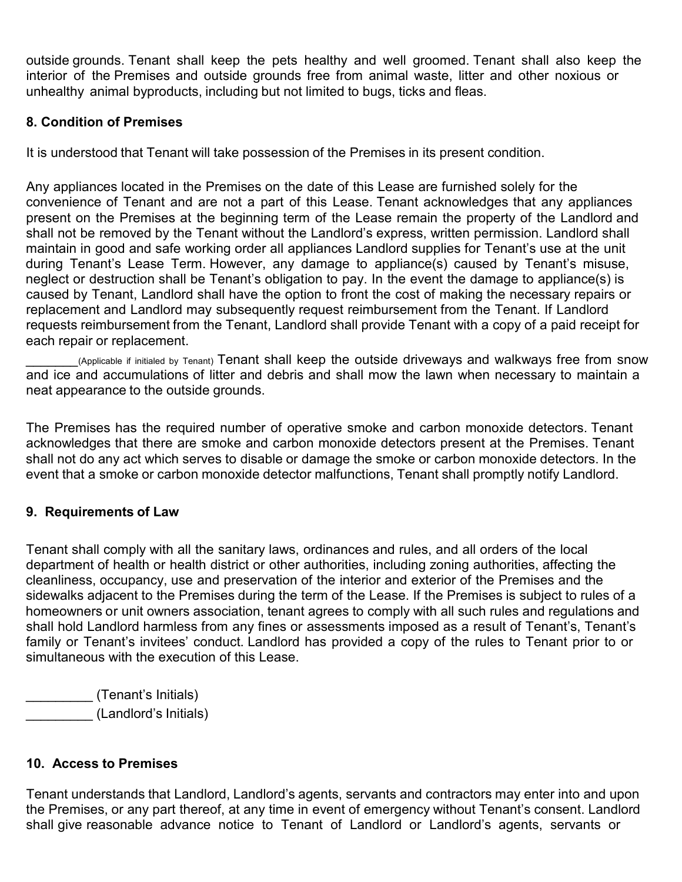outside grounds. Tenant shall keep the pets healthy and well groomed. Tenant shall also keep the interior of the Premises and outside grounds free from animal waste, litter and other noxious or unhealthy animal byproducts, including but not limited to bugs, ticks and fleas.

### **8. Condition of Premises**

It is understood that Tenant will take possession of the Premises in its present condition.

Any appliances located in the Premises on the date of this Lease are furnished solely for the convenience of Tenant and are not a part of this Lease. Tenant acknowledges that any appliances present on the Premises at the beginning term of the Lease remain the property of the Landlord and shall not be removed by the Tenant without the Landlord's express, written permission. Landlord shall maintain in good and safe working order all appliances Landlord supplies for Tenant's use at the unit during Tenant's Lease Term. However, any damage to appliance(s) caused by Tenant's misuse, neglect or destruction shall be Tenant's obligation to pay. In the event the damage to appliance(s) is caused by Tenant, Landlord shall have the option to front the cost of making the necessary repairs or replacement and Landlord may subsequently request reimbursement from the Tenant. If Landlord requests reimbursement from the Tenant, Landlord shall provide Tenant with a copy of a paid receipt for each repair or replacement.

\_\_\_\_\_\_\_(Applicable if initialed by Tenant) Tenant shall keep the outside driveways and walkways free from snow and ice and accumulations of litter and debris and shall mow the lawn when necessary to maintain a neat appearance to the outside grounds.

The Premises has the required number of operative smoke and carbon monoxide detectors. Tenant acknowledges that there are smoke and carbon monoxide detectors present at the Premises. Tenant shall not do any act which serves to disable or damage the smoke or carbon monoxide detectors. In the event that a smoke or carbon monoxide detector malfunctions, Tenant shall promptly notify Landlord.

### **9. Requirements of Law**

Tenant shall comply with all the sanitary laws, ordinances and rules, and all orders of the local department of health or health district or other authorities, including zoning authorities, affecting the cleanliness, occupancy, use and preservation of the interior and exterior of the Premises and the sidewalks adjacent to the Premises during the term of the Lease. If the Premises is subject to rules of a homeowners or unit owners association, tenant agrees to comply with all such rules and regulations and shall hold Landlord harmless from any fines or assessments imposed as a result of Tenant's, Tenant's family or Tenant's invitees' conduct. Landlord has provided a copy of the rules to Tenant prior to or simultaneous with the execution of this Lease.

\_\_\_\_\_\_\_\_\_ (Tenant's Initials) \_\_\_\_\_\_\_\_\_ (Landlord's Initials)

### **10. Access to Premises**

Tenant understands that Landlord, Landlord's agents, servants and contractors may enter into and upon the Premises, or any part thereof, at any time in event of emergency without Tenant's consent. Landlord shall give reasonable advance notice to Tenant of Landlord or Landlord's agents, servants or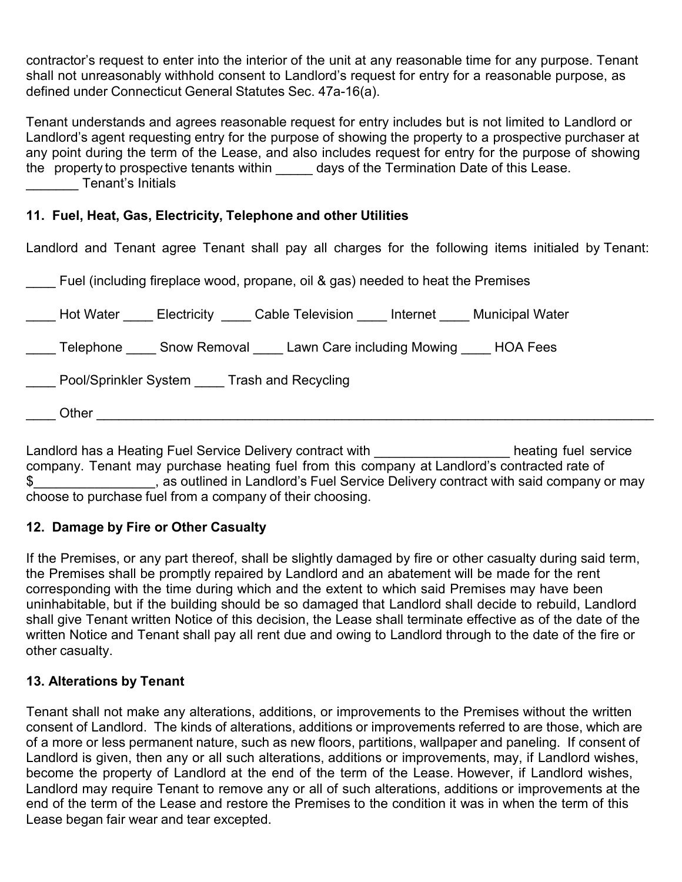contractor's request to enter into the interior of the unit at any reasonable time for any purpose. Tenant shall not unreasonably withhold consent to Landlord's request for entry for a reasonable purpose, as defined under Connecticut General Statutes Sec. 47a-16(a).

Tenant understands and agrees reasonable request for entry includes but is not limited to Landlord or Landlord's agent requesting entry for the purpose of showing the property to a prospective purchaser at any point during the term of the Lease, and also includes request for entry for the purpose of showing the property to prospective tenants within \_\_\_\_\_\_ days of the Termination Date of this Lease. \_\_\_\_\_\_\_ Tenant's Initials

### **11. Fuel, Heat, Gas, Electricity, Telephone and other Utilities**

| Landlord and Tenant agree Tenant shall pay all charges for the following items initialed by Tenant: |  |  |  |  |  |  |  |  |  |  |
|-----------------------------------------------------------------------------------------------------|--|--|--|--|--|--|--|--|--|--|
|-----------------------------------------------------------------------------------------------------|--|--|--|--|--|--|--|--|--|--|

|  |  |  | Fuel (including fireplace wood, propane, oil & gas) needed to heat the Premises |
|--|--|--|---------------------------------------------------------------------------------|
|--|--|--|---------------------------------------------------------------------------------|

| <b>Hot Water</b> | Electricity | <b>Cable Television</b> | Internet | <b>Municipal Water</b> |
|------------------|-------------|-------------------------|----------|------------------------|
|                  |             |                         |          |                        |

Telephone Snow Removal Lawn Care including Mowing HOA Fees

Pool/Sprinkler System \_\_\_\_ Trash and Recycling

\_\_\_\_ Other \_\_\_\_\_\_\_\_\_\_\_\_\_\_\_\_\_\_\_\_\_\_\_\_\_\_\_\_\_\_\_\_\_\_\_\_\_\_\_\_\_\_\_\_\_\_\_\_\_\_\_\_\_\_\_\_\_\_\_\_\_\_\_\_\_\_\_\_\_\_\_\_\_\_\_

Landlord has a Heating Fuel Service Delivery contract with \_\_\_\_\_\_\_\_\_\_\_\_\_\_\_\_\_\_\_\_\_\_ heating fuel service company. Tenant may purchase heating fuel from this company at Landlord's contracted rate of \$\_\_\_\_\_\_\_\_\_\_\_\_\_\_\_\_, as outlined in Landlord's Fuel Service Delivery contract with said company or may choose to purchase fuel from a company of their choosing.

### **12. Damage by Fire or Other Casualty**

If the Premises, or any part thereof, shall be slightly damaged by fire or other casualty during said term, the Premises shall be promptly repaired by Landlord and an abatement will be made for the rent corresponding with the time during which and the extent to which said Premises may have been uninhabitable, but if the building should be so damaged that Landlord shall decide to rebuild, Landlord shall give Tenant written Notice of this decision, the Lease shall terminate effective as of the date of the written Notice and Tenant shall pay all rent due and owing to Landlord through to the date of the fire or other casualty.

### **13. Alterations by Tenant**

Tenant shall not make any alterations, additions, or improvements to the Premises without the written consent of Landlord. The kinds of alterations, additions or improvements referred to are those, which are of a more or less permanent nature, such as new floors, partitions, wallpaper and paneling. If consent of Landlord is given, then any or all such alterations, additions or improvements, may, if Landlord wishes, become the property of Landlord at the end of the term of the Lease. However, if Landlord wishes, Landlord may require Tenant to remove any or all of such alterations, additions or improvements at the end of the term of the Lease and restore the Premises to the condition it was in when the term of this Lease began fair wear and tear excepted.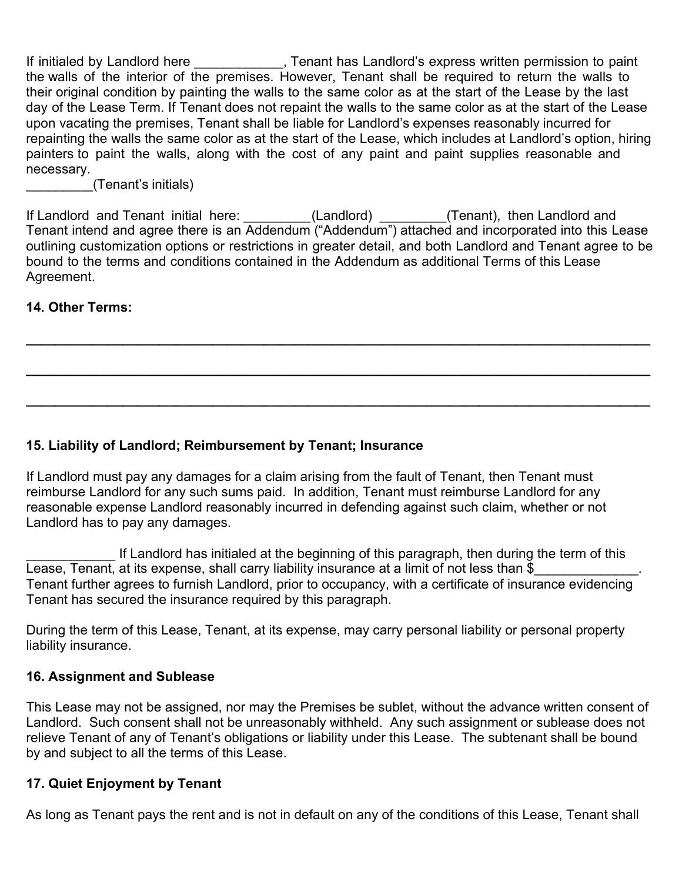If initialed by Landlord here \_\_\_\_\_\_\_\_\_\_\_\_\_, Tenant has Landlord's express written permission to paint the walls of the interior of the premises. However, Tenant shall be required to return the walls to their original condition by painting the walls to the same color as at the start of the Lease by the last day of the Lease Term. If Tenant does not repaint the walls to the same color as at the start of the Lease upon vacating the premises, Tenant shall be liable for Landlord's expenses reasonably incurred for repainting the walls the same color as at the start of the Lease, which includes at Landlord's option, hiring painters to paint the walls, along with the cost of any paint and paint supplies reasonable and necessary.

\_\_\_\_\_\_\_\_\_(Tenant's initials)

If Landlord and Tenant initial here: \_\_\_\_\_\_\_\_(Landlord) \_\_\_\_\_\_\_(Tenant), then Landlord and Tenant intend and agree there is an Addendum ("Addendum") attached and incorporated into this Lease outlining customization options or restrictions in greater detail, and both Landlord and Tenant agree to be bound to the terms and conditions contained in the Addendum as additional Terms of this Lease Agreement.

**\_\_\_\_\_\_\_\_\_\_\_\_\_\_\_\_\_\_\_\_\_\_\_\_\_\_\_\_\_\_\_\_\_\_\_\_\_\_\_\_\_\_\_\_\_\_\_\_\_\_\_\_\_\_\_\_\_\_\_\_\_\_\_\_\_\_\_\_\_\_\_\_\_\_\_\_\_\_\_\_\_\_\_\_**

**\_\_\_\_\_\_\_\_\_\_\_\_\_\_\_\_\_\_\_\_\_\_\_\_\_\_\_\_\_\_\_\_\_\_\_\_\_\_\_\_\_\_\_\_\_\_\_\_\_\_\_\_\_\_\_\_\_\_\_\_\_\_\_\_\_\_\_\_\_\_\_\_\_\_\_\_\_\_\_\_\_\_\_\_**

**\_\_\_\_\_\_\_\_\_\_\_\_\_\_\_\_\_\_\_\_\_\_\_\_\_\_\_\_\_\_\_\_\_\_\_\_\_\_\_\_\_\_\_\_\_\_\_\_\_\_\_\_\_\_\_\_\_\_\_\_\_\_\_\_\_\_\_\_\_\_\_\_\_\_\_\_\_\_\_\_\_\_\_\_**

### **14. Other Terms:**

## **15. Liability of Landlord; Reimbursement by Tenant; Insurance**

If Landlord must pay any damages for a claim arising from the fault of Tenant, then Tenant must reimburse Landlord for any such sums paid. In addition, Tenant must reimburse Landlord for any reasonable expense Landlord reasonably incurred in defending against such claim, whether or not Landlord has to pay any damages.

\_\_\_\_\_\_\_\_\_\_\_\_ If Landlord has initialed at the beginning of this paragraph, then during the term of this Lease, Tenant, at its expense, shall carry liability insurance at a limit of not less than \$ Tenant further agrees to furnish Landlord, prior to occupancy, with a certificate of insurance evidencing Tenant has secured the insurance required by this paragraph.

During the term of this Lease, Tenant, at its expense, may carry personal liability or personal property liability insurance.

### **16. Assignment and Sublease**

This Lease may not be assigned, nor may the Premises be sublet, without the advance written consent of Landlord. Such consent shall not be unreasonably withheld. Any such assignment or sublease does not relieve Tenant of any of Tenant's obligations or liability under this Lease. The subtenant shall be bound by and subject to all the terms of this Lease.

### **17. Quiet Enjoyment by Tenant**

As long as Tenant pays the rent and is not in default on any of the conditions of this Lease, Tenant shall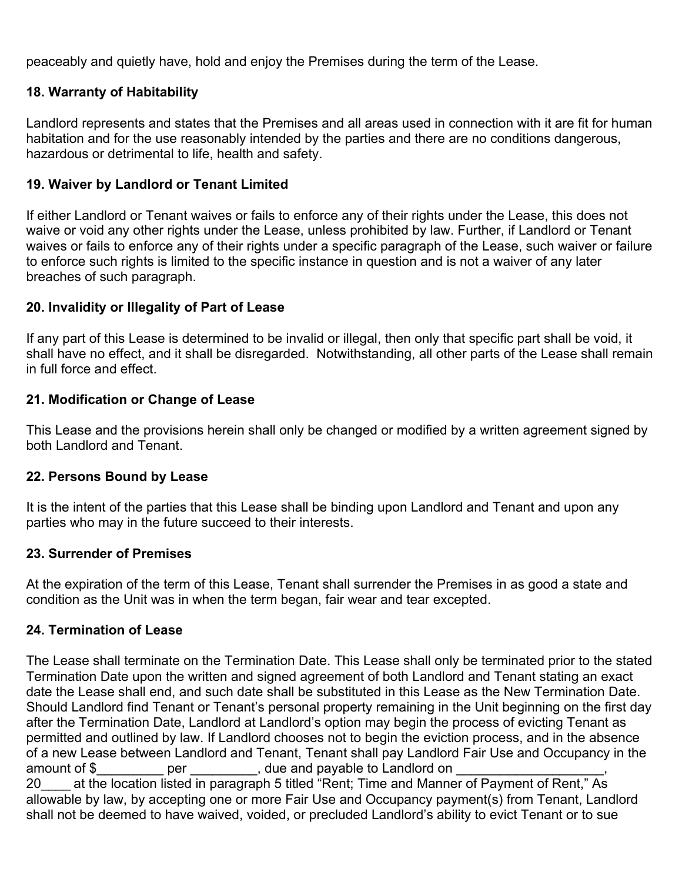peaceably and quietly have, hold and enjoy the Premises during the term of the Lease.

### **18. Warranty of Habitability**

Landlord represents and states that the Premises and all areas used in connection with it are fit for human habitation and for the use reasonably intended by the parties and there are no conditions dangerous, hazardous or detrimental to life, health and safety.

### **19. Waiver by Landlord or Tenant Limited**

If either Landlord or Tenant waives or fails to enforce any of their rights under the Lease, this does not waive or void any other rights under the Lease, unless prohibited by law. Further, if Landlord or Tenant waives or fails to enforce any of their rights under a specific paragraph of the Lease, such waiver or failure to enforce such rights is limited to the specific instance in question and is not a waiver of any later breaches of such paragraph.

### **20. Invalidity or Illegality of Part of Lease**

If any part of this Lease is determined to be invalid or illegal, then only that specific part shall be void, it shall have no effect, and it shall be disregarded. Notwithstanding, all other parts of the Lease shall remain in full force and effect.

### **21. Modification or Change of Lease**

This Lease and the provisions herein shall only be changed or modified by a written agreement signed by both Landlord and Tenant.

### **22. Persons Bound by Lease**

It is the intent of the parties that this Lease shall be binding upon Landlord and Tenant and upon any parties who may in the future succeed to their interests.

### **23. Surrender of Premises**

At the expiration of the term of this Lease, Tenant shall surrender the Premises in as good a state and condition as the Unit was in when the term began, fair wear and tear excepted.

### **24. Termination of Lease**

The Lease shall terminate on the Termination Date. This Lease shall only be terminated prior to the stated Termination Date upon the written and signed agreement of both Landlord and Tenant stating an exact date the Lease shall end, and such date shall be substituted in this Lease as the New Termination Date. Should Landlord find Tenant or Tenant's personal property remaining in the Unit beginning on the first day after the Termination Date, Landlord at Landlord's option may begin the process of evicting Tenant as permitted and outlined by law. If Landlord chooses not to begin the eviction process, and in the absence of a new Lease between Landlord and Tenant, Tenant shall pay Landlord Fair Use and Occupancy in the amount of \$\_\_\_\_\_\_\_\_\_\_\_\_ per \_\_\_\_\_\_\_\_\_, due and payable to Landlord on 20 at the location listed in paragraph 5 titled "Rent; Time and Manner of Payment of Rent," As allowable by law, by accepting one or more Fair Use and Occupancy payment(s) from Tenant, Landlord shall not be deemed to have waived, voided, or precluded Landlord's ability to evict Tenant or to sue